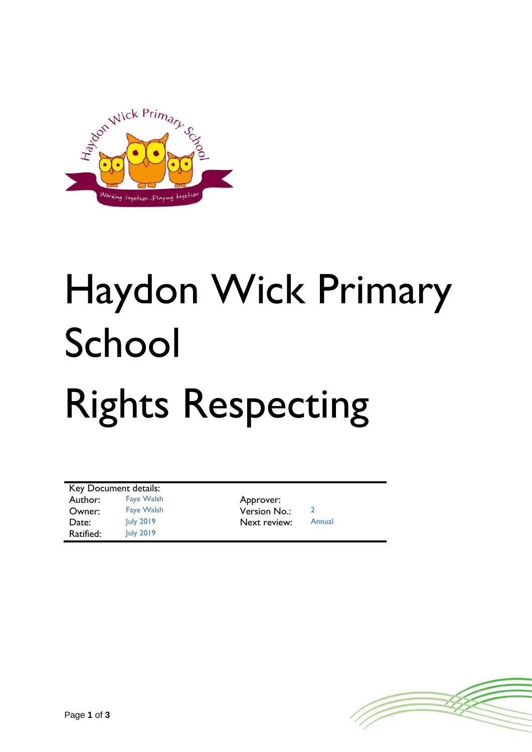

## Haydon Wick Primary School Rights Respecting

| Key Document details: |                   |              |        |
|-----------------------|-------------------|--------------|--------|
| Author:               | <b>Faye Walsh</b> | Approver:    |        |
| Owner:                | <b>Faye Walsh</b> | Version No.: |        |
| Date:                 | July 2019         | Next review: | Annual |
| Ratified:             | July 2019         |              |        |

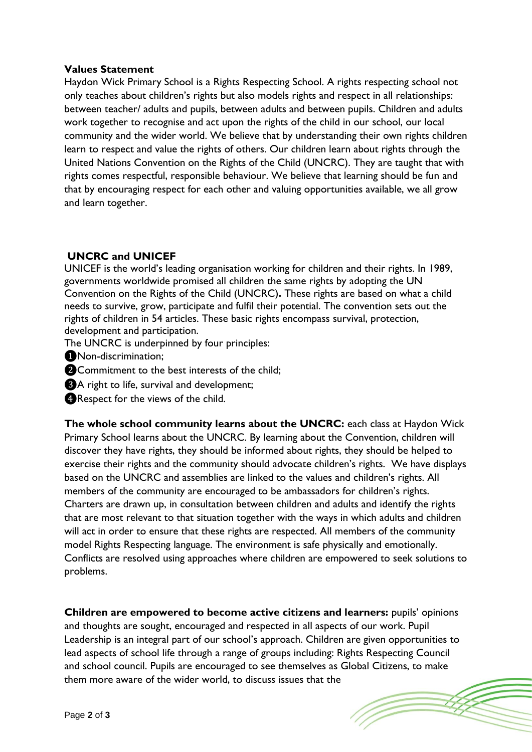## **Values Statement**

Haydon Wick Primary School is a Rights Respecting School. A rights respecting school not only teaches about children's rights but also models rights and respect in all relationships: between teacher/ adults and pupils, between adults and between pupils. Children and adults work together to recognise and act upon the rights of the child in our school, our local community and the wider world. We believe that by understanding their own rights children learn to respect and value the rights of others. Our children learn about rights through the United Nations Convention on the Rights of the Child (UNCRC). They are taught that with rights comes respectful, responsible behaviour. We believe that learning should be fun and that by encouraging respect for each other and valuing opportunities available, we all grow and learn together.

## **UNCRC and UNICEF**

UNICEF is the world's leading organisation working for children and their rights. In 1989, governments worldwide promised all children the same rights by adopting the UN Convention on the Rights of the Child (UNCRC)**.** These rights are based on what a child needs to survive, grow, participate and fulfil their potential. The convention sets out the rights of children in 54 articles. These basic rights encompass survival, protection, development and participation.

- The UNCRC is underpinned by four principles:
- ❶Non-discrimination;
- **@Commitment to the best interests of the child;**
- ❸A right to life, survival and development;
- **C**Respect for the views of the child.

**The whole school community learns about the UNCRC:** each class at Haydon Wick Primary School learns about the UNCRC. By learning about the Convention, children will discover they have rights, they should be informed about rights, they should be helped to exercise their rights and the community should advocate children's rights. We have displays based on the UNCRC and assemblies are linked to the values and children's rights. All members of the community are encouraged to be ambassadors for children's rights. Charters are drawn up, in consultation between children and adults and identify the rights that are most relevant to that situation together with the ways in which adults and children will act in order to ensure that these rights are respected. All members of the community model Rights Respecting language. The environment is safe physically and emotionally. Conflicts are resolved using approaches where children are empowered to seek solutions to problems.

**Children are empowered to become active citizens and learners:** pupils' opinions and thoughts are sought, encouraged and respected in all aspects of our work. Pupil Leadership is an integral part of our school's approach. Children are given opportunities to lead aspects of school life through a range of groups including: Rights Respecting Council and school council. Pupils are encouraged to see themselves as Global Citizens, to make them more aware of the wider world, to discuss issues that the